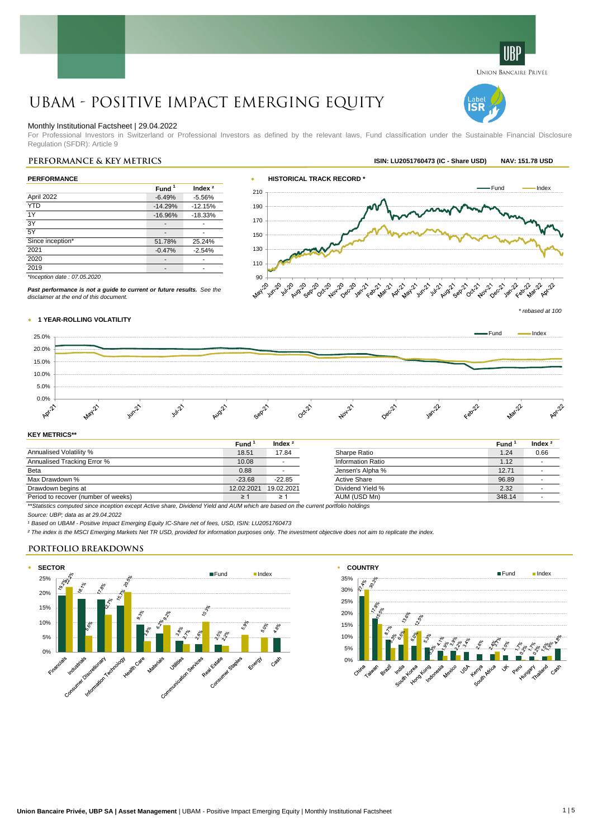# UBAM - Positive Impact Emerging Equity

# Monthly Institutional Factsheet | 29.04.2022

For Professional Investors in Switzerland or Professional Investors as defined by the relevant laws, Fund classification under the Sustainable Financial Disclosure Regulation (SFDR): Article 9

| <b>PERFORMANCE</b>          |                   |           |  |  |
|-----------------------------|-------------------|-----------|--|--|
|                             | Fund <sup>1</sup> | Index $2$ |  |  |
| April 2022                  | $-6.49%$          | $-5.56%$  |  |  |
| <b>YTD</b>                  | $-14.29%$         | $-12.15%$ |  |  |
| 1Y                          | $-16.96%$         | $-18.33%$ |  |  |
| 3Y                          |                   |           |  |  |
| 5Y                          |                   |           |  |  |
| Since inception*            | 51.78%            | 25.24%    |  |  |
| 2021                        | $-0.47%$          | $-2.54%$  |  |  |
| 2020                        |                   |           |  |  |
| 2019                        |                   |           |  |  |
| *Inception date: 07.05.2020 |                   |           |  |  |

*Past performance is not a guide to current or future results. See the*



UNION BANCAIRE PRIVÉE

IS I

w **1 YEAR-ROLLING VOLATILITY** *disclaimer at the end of this document.*



# **KEY METRICS\*\***

|                                                                                                                                         | Fund       | Index $2$  |                     | Fund   | Index <sup>3</sup> |
|-----------------------------------------------------------------------------------------------------------------------------------------|------------|------------|---------------------|--------|--------------------|
| Annualised Volatility %                                                                                                                 | 18.51      | 17.84      | Sharpe Ratio        | 1.24   | 0.66               |
| Annualised Tracking Error %                                                                                                             | 10.08      |            | Information Ratio   | 1.12   |                    |
| Beta                                                                                                                                    | 0.88       |            | Jensen's Alpha %    | 12.71  |                    |
| Max Drawdown %                                                                                                                          | $-23.68$   | $-22.85$   | <b>Active Share</b> | 96.89  |                    |
| Drawdown begins at                                                                                                                      | 12.02.2021 | 19.02.2021 | Dividend Yield %    | 2.32   |                    |
| Period to recover (number of weeks)                                                                                                     | $\geq$ 1   |            | AUM (USD Mn)        | 348.14 |                    |
| ttOinilainn nomachaid alban logamilan account Antica abana. Dh'idead Viald and ALIM cobiale ann banad an tha account naothalla baldinna |            |            |                     |        |                    |

*\*\*Statistics computed since inception except Active share, Dividend Yield and AUM which are based on the current portfolio holdings*

*Source: UBP; data as at 29.04.2022*

*¹ Based on UBAM - Positive Impact Emerging Equity IC-Share net of fees, USD, ISIN: LU2051760473*

*² The index is the MSCI Emerging Markets Net TR USD, provided for information purposes only. The investment objective does not aim to replicate the index.*

# **PORTFOLIO BREAKDOWNS**



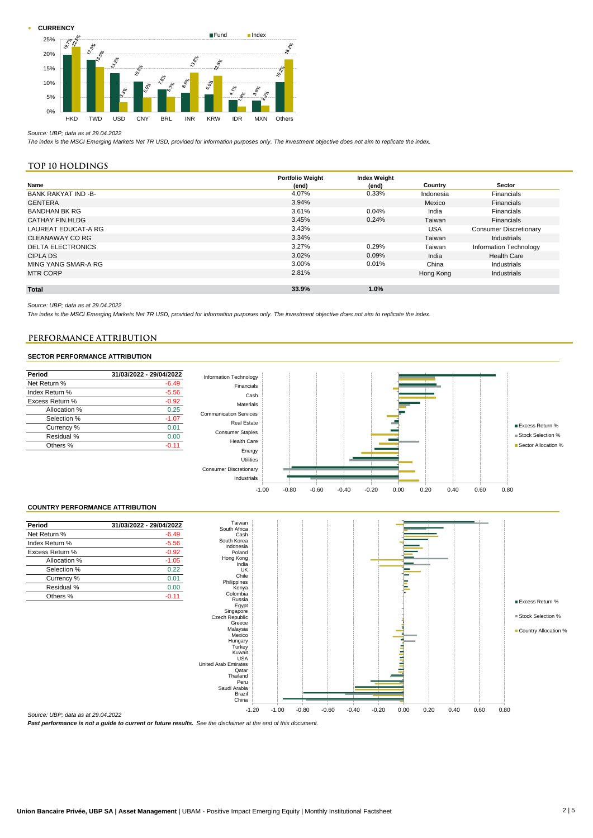**CURRENCY** 



#### *Source: UBP; data as at 29.04.2022*

*The index is the MSCI Emerging Markets Net TR USD, provided for information purposes only. The investment objective does not aim to replicate the index.*

# **Top 10 holdings**

|                            | <b>Portfolio Weight</b> | <b>Index Weight</b> |            |                               |
|----------------------------|-------------------------|---------------------|------------|-------------------------------|
| Name                       | (end)                   | (end)               | Country    | Sector                        |
| <b>BANK RAKYAT IND -B-</b> | 4.07%                   | 0.33%               | Indonesia  | Financials                    |
| <b>GENTERA</b>             | 3.94%                   |                     | Mexico     | Financials                    |
| <b>BANDHAN BK RG</b>       | 3.61%                   | 0.04%               | India      | Financials                    |
| <b>CATHAY FIN.HLDG</b>     | 3.45%                   | 0.24%               | Taiwan     | <b>Financials</b>             |
| LAUREAT EDUCAT-A RG        | 3.43%                   |                     | <b>USA</b> | <b>Consumer Discretionary</b> |
| CLEANAWAY CO RG            | 3.34%                   |                     | Taiwan     | Industrials                   |
| <b>DELTA ELECTRONICS</b>   | 3.27%                   | 0.29%               | Taiwan     | Information Technology        |
| <b>CIPLA DS</b>            | 3.02%                   | 0.09%               | India      | <b>Health Care</b>            |
| MING YANG SMAR-A RG        | 3.00%                   | 0.01%               | China      | Industrials                   |
| <b>MTR CORP</b>            | 2.81%                   |                     | Hong Kong  | Industrials                   |
|                            |                         |                     |            |                               |
| <b>Total</b>               | 33.9%                   | 1.0%                |            |                               |

*Source: UBP; data as at 29.04.2022*

*The index is the MSCI Emerging Markets Net TR USD, provided for information purposes only. The investment objective does not aim to replicate the index.*

# **PERFORMANCE ATTRIBUTION PERFORMANCE ATTRIBUTION**

# SECTOR PERFORMANCE ATTRIBUTION **SECTOR PERFORMANCE ATTRIBUTION**



*Source: UBP; data as at 29.04.2022*

*Past performance is not a guide to current or future results. See the disclaimer at the end of this document.*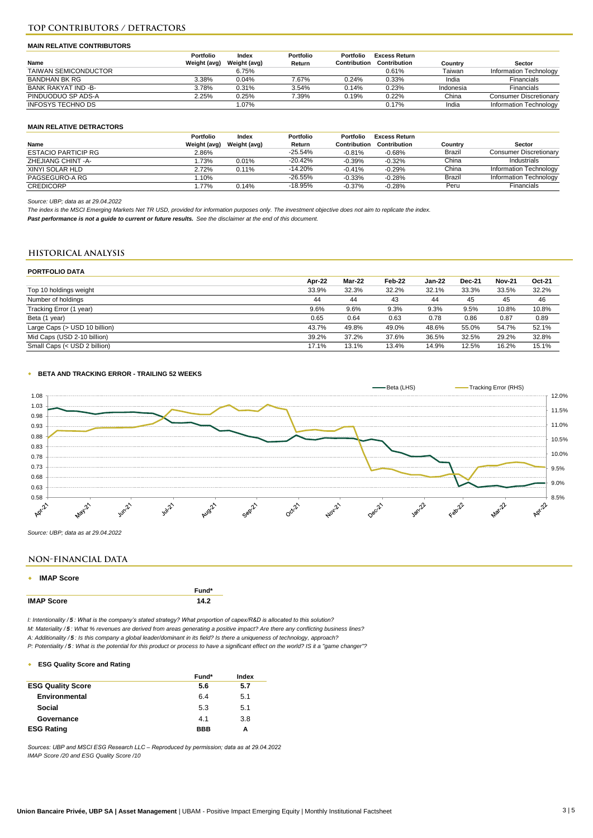# **TOP CONTRIBUTORS / DETRACTORS**

#### **MAIN RELATIVE CONTRIBUTORS**

|                             | Portfolio    | Index        | Portfolio | Portfolio    | <b>Excess Return</b> |           |                               |
|-----------------------------|--------------|--------------|-----------|--------------|----------------------|-----------|-------------------------------|
| Name                        | Weight (avg) | Weight (avg) | Return    | Contribution | Contribution         | Country   | Sector                        |
| <b>TAIWAN SEMICONDUCTOR</b> |              | 6.75%        |           |              | 0.61%                | Taiwan    | Information Technology        |
| <b>BANDHAN BK RG</b>        | 3.38%        | 0.04%        | 7.67%     | 0.24%        | 0.33%                | India     | Financials                    |
| BANK RAKYAT IND -B-         | 3.78%        | 0.31%        | 3.54%     | 0.14%        | 0.23%                | Indonesia | Financials                    |
| PINDUODUO SP ADS-A          | 2.25%        | 0.25%        | 7.39%     | 0.19%        | 0.22%                | China     | <b>Consumer Discretionary</b> |
| INFOSYS TECHNO DS           |              | 1.07%        |           |              | 0.17%                | India     | Information Technology        |

# **MAIN RELATIVE DETRACTORS**

|                            | Portfolio    | Index        | Portfolio | Portfolio    | Excess Return |         |                               |
|----------------------------|--------------|--------------|-----------|--------------|---------------|---------|-------------------------------|
| Name                       | Weight (avg) | Weight (avg) | Return    | Contribution | Contribution  | Country | Sector                        |
| <b>ESTACIO PARTICIP RG</b> | 2.86%        |              | $-25.54%$ | $-0.81%$     | $-0.68%$      | Brazil  | <b>Consumer Discretionary</b> |
| ZHEJIANG CHINT - A-        | .73%         | 0.01%        | $-20.42%$ | $-0.39%$     | $-0.32%$      | China   | Industrials                   |
| XINYI SOLAR HLD            | 2.72%        | 0.11%        | $-14.20%$ | $-0.41%$     | $-0.29%$      | China   | Information Technology        |
| PAGSEGURO-A RG             | .10%         |              | $-26.55%$ | $-0.33%$     | $-0.28%$      | Brazil  | Information Technology        |
| <b>CREDICORP</b>           | .77%         | 0.14%        | $-18.95%$ | $-0.37%$     | $-0.28%$      | Peru    | Financials                    |

*Source: UBP; data as at 29.04.2022*

*The index is the MSCI Emerging Markets Net TR USD, provided for information purposes only. The investment objective does not aim to replicate the index.*

*Past performance is not a guide to current or future results. See the disclaimer at the end of this document.*

# **HISTORICAL ANALYSIS**

## **PORTFOLIO DATA**

|                               | Apr-22 | Mar-22 | Feb-22 | <b>Jan-22</b> | <b>Dec-21</b> | <b>Nov-21</b> | Oct-21 |
|-------------------------------|--------|--------|--------|---------------|---------------|---------------|--------|
| Top 10 holdings weight        | 33.9%  | 32.3%  | 32.2%  | 32.1%         | 33.3%         | 33.5%         | 32.2%  |
| Number of holdings            | 44     | 44     | 43     | 44            | 45            | 45            | 46     |
| Tracking Error (1 year)       | 9.6%   | 9.6%   | 9.3%   | 9.3%          | 9.5%          | 10.8%         | 10.8%  |
| Beta (1 year)                 | 0.65   | 0.64   | 0.63   | 0.78          | 0.86          | 0.87          | 0.89   |
| Large Caps (> USD 10 billion) | 43.7%  | 49.8%  | 49.0%  | 48.6%         | 55.0%         | 54.7%         | 52.1%  |
| Mid Caps (USD 2-10 billion)   | 39.2%  | 37.2%  | 37.6%  | 36.5%         | 32.5%         | 29.2%         | 32.8%  |
| Small Caps (< USD 2 billion)  | 17.1%  | 13.1%  | 13.4%  | 14.9%         | 12.5%         | 16.2%         | 15.1%  |

#### w **BETA AND TRACKING ERROR - TRAILING 52 WEEKS**



*Source: UBP; data as at 29.04.2022*

# **NON-FINANCIAL DATA**

#### **\* IMAP Score**

|                   | Fund* |
|-------------------|-------|
| <b>IMAP Score</b> | 142   |

*I: Intentionality / 5 : What is the company's stated strategy? What proportion of capex/R&D is allocated to this solution?*

*M: Materiality / 5 : What % revenues are derived from areas generating a positive impact? Are there any conflicting business lines?*

*A: Additionality / 5 : Is this company a global leader/dominant in its field? Is there a uniqueness of technology, approach?*

*P: Potentiality / 5 : What is the potential for this product or process to have a significant effect on the world? IS it a "game changer"?*

#### w **ESG Quality Score and Rating**

|                          | Fund*      | Index |
|--------------------------|------------|-------|
| <b>ESG Quality Score</b> | 5.6        | 5.7   |
| Environmental            | 6.4        | 5.1   |
| Social                   | 5.3        | 5.1   |
| Governance               | 4.1        | 3.8   |
| <b>ESG Rating</b>        | <b>BBB</b> | А     |

*Sources: UBP and MSCI ESG Research LLC – Reproduced by permission; data as at 29.04.2022 IMAP Score /20 and ESG Quality Score /10*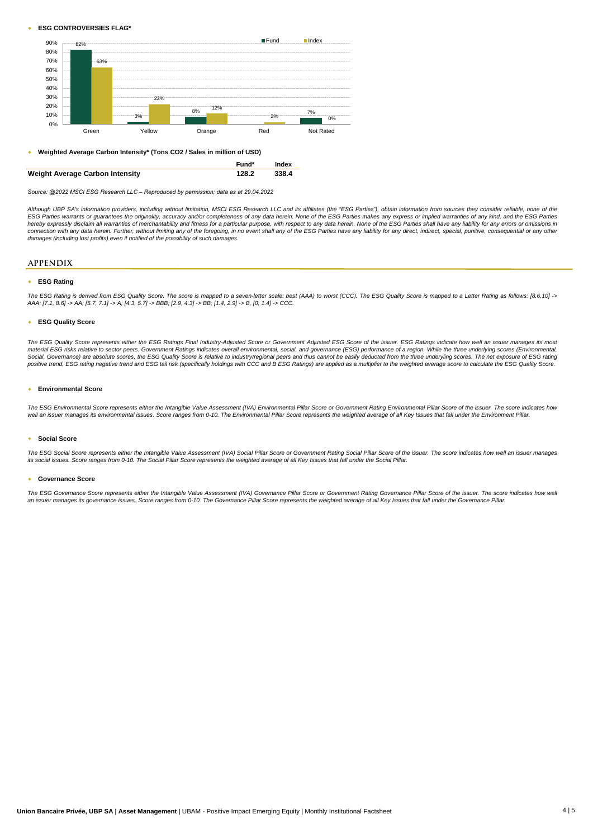#### w **ESG CONTROVERSIES FLAG\***



w **Weighted Average Carbon Intensity\* (Tons CO2 / Sales in million of USD)**



*Source: @2022 MSCI ESG Research LLC – Reproduced by permission; data as at 29.04.2022*

Although UBP SA's information providers, including without limitation, MSCI ESG Research LLC and its affiliates (the "ESG Parties"), obtain information from sources they consider reliable, none of the ESG Parties warrants or guarantees the originality, accuracy and/or completeness of any data herein. None of the ESG Parties makes any express or implied warranties of any kind, and the ESG Parties<br>hereby expressly disclai connection with any data herein. Further, without limiting any of the foregoing, in no event shall any of the ESG Parties have any liability for any direct, indirect, special, punitive, consequential or any othei<br>damages (

#### **APPENDIX**

#### **\* ESG Rating**

The ESG Rating is derived from ESG Quality Score. The score is mapped to a seven-letter scale: best (AAA) to worst (CCC). The ESG Quality Score is mapped to a Letter Rating as follows: [8.6,10] -> *AAA; [7.1, 8.6] -> AA; [5.7, 7.1] -> A; [4.3, 5.7] -> BBB; [2.9, 4.3] -> BB; [1.4, 2.9] -> B, [0; 1.4] -> CCC.*

#### w **ESG Quality Score**

The ESG Quality Score represents either the ESG Ratings Final Industry-Adjusted Score or Government Adjusted ESG Score of the issuer. ESG Ratings indicate how well an issuer manages its mos<br>material ESG risks relative to s Social, Governance) are absolute scores, the ESG Quality Score is relative to industry/regional peers and thus cannot be easily deducted from the three underyling scores. The net exposure of ESG rating *positive trend, ESG rating negative trend and ESG tail risk (specifically holdings with CCC and B ESG Ratings) are applied as a multiplier to the weighted average score to calculate the ESG Quality Score.*

# w **Environmental Score**

The ESG Environmental Score represents either the Intangible Value Assessment (IVA) Environmental Pillar Score or Government Rating Environmental Pillar Score of the issuer. The score indicates how *well an issuer manages its environmental issues. Score ranges from 0-10. The Environmental Pillar Score represents the weighted average of all Key Issues that fall under the Environment Pillar.*

#### **\*** Social Score

The ESG Social Score represents either the Intangible Value Assessment (IVA) Social Pillar Score or Government Rating Social Pillar Score of the issuer. The score indicates how well an issuer manages *its social issues. Score ranges from 0-10. The Social Pillar Score represents the weighted average of all Key Issues that fall under the Social Pillar.*

#### w **Governance Score**

The ESG Governance Score represents either the Intangible Value Assessment (IVA) Governance Pillar Score or Government Rating Governance Pillar Score of the issuer. The score indicates how well *an issuer manages its governance issues. Score ranges from 0-10. The Governance Pillar Score represents the weighted average of all Key Issues that fall under the Governance Pillar.*